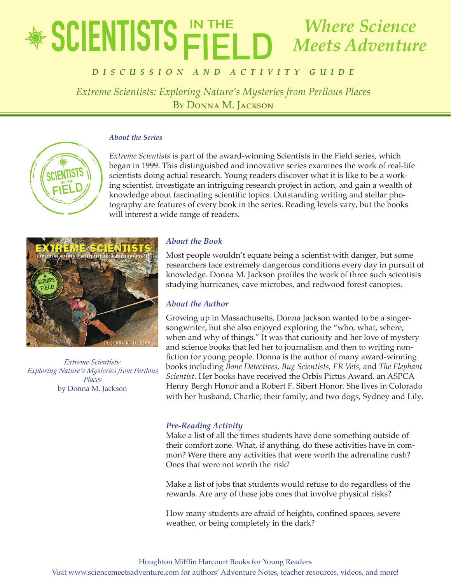## educator's Guide  $\mathbb{F}$  **Bullistists: Extreme Scientists: Exploring Places** *Scientiste Where Science Meets Adventure*

# By Donna M. Jackson *D i s c u ss ion a n d a ctivity Gui d e*

*Extreme Scientists: Exploring Nature's Mysteries from Perilous Places* By Donna M. Jackson

## *About the Series*

*Extreme Scientists* is part of the award-winning Scientists in the Field series, which began in 1999. This distinguished and innovative series examines the work of real-life scientists doing actual research. Young readers discover what it is like to be a working scientist, investigate an intriguing research project in action, and gain a wealth of knowledge about fascinating scientific topics. Outstanding writing and stellar photography are features of every book in the series. Reading levels vary, but the books will interest a wide range of readers.



*Extreme Scientists: Exploring Nature's Mysteries from Perilous Places* by Donna M. Jackson

## *About the Book*

Most people wouldn't equate being a scientist with danger, but some researchers face extremely dangerous conditions every day in pursuit of knowledge. Donna M. Jackson profiles the work of three such scientists studying hurricanes, cave microbes, and redwood forest canopies.

## *About the Author*

Growing up in Massachusetts, Donna Jackson wanted to be a singersongwriter, but she also enjoyed exploring the "who, what, where, when and why of things." It was that curiosity and her love of mystery and science books that led her to journalism and then to writing nonfiction for young people. Donna is the author of many award-winning books including *Bone Detectives, Bug Scientists, ER Vets,* and *The Elephant Scientist.* Her books have received the Orbis Pictus Award, an ASPCA Henry Bergh Honor and a Robert F. Sibert Honor. She lives in Colorado with her husband, Charlie; their family; and two dogs, Sydney and Lily.

## *Pre-Reading Activity*

Make a list of all the times students have done something outside of their comfort zone. What, if anything, do these activities have in common? Were there any activities that were worth the adrenaline rush? Ones that were not worth the risk?

Make a list of jobs that students would refuse to do regardless of the rewards. Are any of these jobs ones that involve physical risks?

How many students are afraid of heights, confined spaces, severe weather, or being completely in the dark?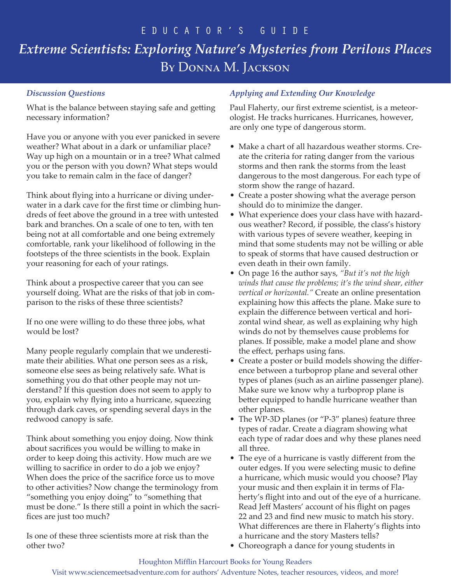## *Discussion Questions*

What is the balance between staying safe and getting necessary information?

Have you or anyone with you ever panicked in severe weather? What about in a dark or unfamiliar place? Way up high on a mountain or in a tree? What calmed you or the person with you down? What steps would you take to remain calm in the face of danger?

Think about flying into a hurricane or diving underwater in a dark cave for the first time or climbing hundreds of feet above the ground in a tree with untested bark and branches. On a scale of one to ten, with ten being not at all comfortable and one being extremely comfortable, rank your likelihood of following in the footsteps of the three scientists in the book. Explain your reasoning for each of your ratings.

Think about a prospective career that you can see yourself doing. What are the risks of that job in comparison to the risks of these three scientists?

If no one were willing to do these three jobs, what would be lost?

Many people regularly complain that we underestimate their abilities. What one person sees as a risk, someone else sees as being relatively safe. What is something you do that other people may not understand? If this question does not seem to apply to you, explain why flying into a hurricane, squeezing through dark caves, or spending several days in the redwood canopy is safe.

Think about something you enjoy doing. Now think about sacrifices you would be willing to make in order to keep doing this activity. How much are we willing to sacrifice in order to do a job we enjoy? When does the price of the sacrifice force us to move to other activities? Now change the terminology from "something you enjoy doing" to "something that must be done." Is there still a point in which the sacrifices are just too much?

Is one of these three scientists more at risk than the other two?

## *Applying and Extending Our Knowledge*

Paul Flaherty, our first extreme scientist, is a meteorologist. He tracks hurricanes. Hurricanes, however, are only one type of dangerous storm.

- Make a chart of all hazardous weather storms. Create the criteria for rating danger from the various storms and then rank the storms from the least dangerous to the most dangerous. For each type of storm show the range of hazard.
- Create a poster showing what the average person should do to minimize the danger.
- What experience does your class have with hazardous weather? Record, if possible, the class's history with various types of severe weather, keeping in mind that some students may not be willing or able to speak of storms that have caused destruction or even death in their own family.
- On page 16 the author says, *"But it's not the high winds that cause the problems; it's the wind shear, either vertical or horizontal."* Create an online presentation explaining how this affects the plane. Make sure to explain the difference between vertical and horizontal wind shear, as well as explaining why high winds do not by themselves cause problems for planes. If possible, make a model plane and show the effect, perhaps using fans.
- Create a poster or build models showing the difference between a turboprop plane and several other types of planes (such as an airline passenger plane). Make sure we know why a turboprop plane is better equipped to handle hurricane weather than other planes.
- The WP-3D planes (or "P-3" planes) feature three types of radar. Create a diagram showing what each type of radar does and why these planes need all three.
- The eye of a hurricane is vastly different from the outer edges. If you were selecting music to define a hurricane, which music would you choose? Play your music and then explain it in terms of Flaherty's flight into and out of the eye of a hurricane. Read Jeff Masters' account of his flight on pages 22 and 23 and find new music to match his story. What differences are there in Flaherty's flights into a hurricane and the story Masters tells?
- Choreograph a dance for young students in

## Houghton Mifflin Harcourt Books for Young Readers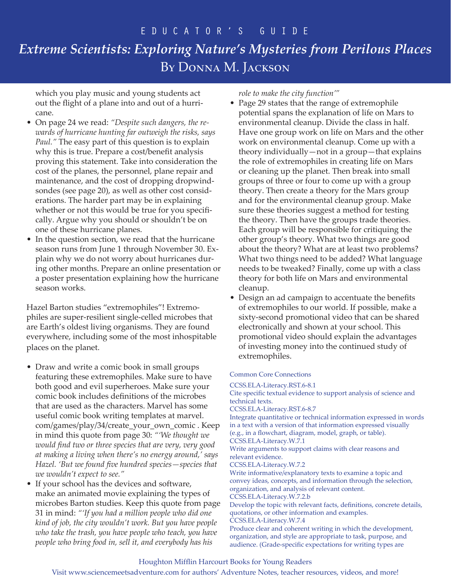which you play music and young students act out the flight of a plane into and out of a hurricane.

- On page 24 we read: *"Despite such dangers, the rewards of hurricane hunting far outweigh the risks, says Paul."* The easy part of this question is to explain why this is true. Prepare a cost/benefit analysis proving this statement. Take into consideration the cost of the planes, the personnel, plane repair and maintenance, and the cost of dropping dropwindsondes (see page 20), as well as other cost considerations. The harder part may be in explaining whether or not this would be true for you specifically. Argue why you should or shouldn't be on one of these hurricane planes.
- In the question section, we read that the hurricane season runs from June 1 through November 30. Explain why we do not worry about hurricanes during other months. Prepare an online presentation or a poster presentation explaining how the hurricane season works.

Hazel Barton studies "extremophiles"! Extremophiles are super-resilient single-celled microbes that are Earth's oldest living organisms. They are found everywhere, including some of the most inhospitable places on the planet.

- Draw and write a comic book in small groups featuring these extremophiles. Make sure to have both good and evil superheroes. Make sure your comic book includes definitions of the microbes that are used as the characters. Marvel has some useful comic book writing templates at marvel. com/games/play/34/create\_your\_own\_comic . Keep in mind this quote from page 30: *"'We thought we would find two or three species that are very, very good at making a living when there's no energy around,' says Hazel. 'But we found five hundred species—species that we wouldn't expect to see."*
- If your school has the devices and software, make an animated movie explaining the types of microbes Barton studies. Keep this quote from page 31 in mind: *"'If you had a million people who did one kind of job, the city wouldn't work. But you have people who take the trash, you have people who teach, you have people who bring food in, sell it, and everybody has his*

*role to make the city function'"*

- Page 29 states that the range of extremophile potential spans the explanation of life on Mars to environmental cleanup. Divide the class in half. Have one group work on life on Mars and the other work on environmental cleanup. Come up with a theory individually—not in a group—that explains the role of extremophiles in creating life on Mars or cleaning up the planet. Then break into small groups of three or four to come up with a group theory. Then create a theory for the Mars group and for the environmental cleanup group. Make sure these theories suggest a method for testing the theory. Then have the groups trade theories. Each group will be responsible for critiquing the other group's theory. What two things are good about the theory? What are at least two problems? What two things need to be added? What language needs to be tweaked? Finally, come up with a class theory for both life on Mars and environmental cleanup.
- Design an ad campaign to accentuate the benefits of extremophiles to our world. If possible, make a sixty-second promotional video that can be shared electronically and shown at your school. This promotional video should explain the advantages of investing money into the continued study of extremophiles.

## Common Core Connections

CCSS.ELA-Literacy.RST.6-8.1

Cite specific textual evidence to support analysis of science and technical texts. CCSS.ELA-Literacy.RST.6-8.7 Integrate quantitative or technical information expressed in words in a text with a version of that information expressed visually (e.g., in a flowchart, diagram, model, graph, or table). CCSS.ELA-Literacy.W.7.1 Write arguments to support claims with clear reasons and relevant evidence. CCSS.ELA-Literacy.W.7.2 Write informative/explanatory texts to examine a topic and convey ideas, concepts, and information through the selection, organization, and analysis of relevant content. CCSS.ELA-Literacy.W.7.2.b

Develop the topic with relevant facts, definitions, concrete details, quotations, or other information and examples. CCSS.ELA-Literacy.W.7.4 Produce clear and coherent writing in which the development,

organization, and style are appropriate to task, purpose, and audience. (Grade-specific expectations for writing types are

## Houghton Mifflin Harcourt Books for Young Readers

Visit www.sciencemeetsadventure.com for authors' Adventure Notes, teacher resources, videos, and more!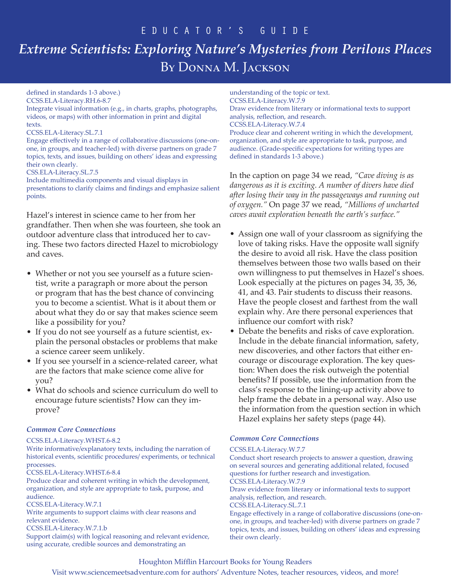## educator's Guide

# *Extreme Scientists: Exploring Nature's Mysteries from Perilous Places*  By Donna M. Jackson

## defined in standards 1-3 above.)

CCSS.ELA-Literacy.RH.6-8.7 Integrate visual information (e.g., in charts, graphs, photographs, videos, or maps) with other information in print and digital texts.

#### CCSS.ELA-Literacy.SL.7.1

Engage effectively in a range of collaborative discussions (one-onone, in groups, and teacher-led) with diverse partners on grade 7 topics, texts, and issues, building on others' ideas and expressing their own clearly.

#### CSS.ELA-Literacy.SL.7.5

Include multimedia components and visual displays in presentations to clarify claims and findings and emphasize salient points.

Hazel's interest in science came to her from her grandfather. Then when she was fourteen, she took an outdoor adventure class that introduced her to caving. These two factors directed Hazel to microbiology and caves.

- Whether or not you see yourself as a future scientist, write a paragraph or more about the person or program that has the best chance of convincing you to become a scientist. What is it about them or about what they do or say that makes science seem like a possibility for you?
- If you do not see yourself as a future scientist, explain the personal obstacles or problems that make a science career seem unlikely.
- If you see yourself in a science-related career, what are the factors that make science come alive for you?
- What do schools and science curriculum do well to encourage future scientists? How can they improve?

## *Common Core Connections*

#### CCSS.ELA-Literacy.WHST.6-8.2

Write informative/explanatory texts, including the narration of historical events, scientific procedures/ experiments, or technical processes.

CCSS.ELA-Literacy.WHST.6-8.4

Produce clear and coherent writing in which the development, organization, and style are appropriate to task, purpose, and audience.

CCSS.ELA-Literacy.W.7.1

Write arguments to support claims with clear reasons and relevant evidence.

#### CCSS.ELA-Literacy.W.7.1.b

Support claim(s) with logical reasoning and relevant evidence, using accurate, credible sources and demonstrating an

understanding of the topic or text. CCSS.ELA-Literacy.W.7.9 Draw evidence from literary or informational texts to support analysis, reflection, and research. CCSS.ELA-Literacy.W.7.4 Produce clear and coherent writing in which the development, organization, and style are appropriate to task, purpose, and audience. (Grade-specific expectations for writing types are defined in standards 1-3 above.)

In the caption on page 34 we read, *"Cave diving is as dangerous as it is exciting. A number of divers have died after losing their way in the passageways and running out of oxygen."* On page 37 we read, *"Millions of uncharted caves await exploration beneath the earth's surface."*

- Assign one wall of your classroom as signifying the love of taking risks. Have the opposite wall signify the desire to avoid all risk. Have the class position themselves between those two walls based on their own willingness to put themselves in Hazel's shoes. Look especially at the pictures on pages 34, 35, 36, 41, and 43. Pair students to discuss their reasons. Have the people closest and farthest from the wall explain why. Are there personal experiences that influence our comfort with risk?
- Debate the benefits and risks of cave exploration. Include in the debate financial information, safety, new discoveries, and other factors that either encourage or discourage exploration. The key question: When does the risk outweigh the potential benefits? If possible, use the information from the class's response to the lining-up activity above to help frame the debate in a personal way. Also use the information from the question section in which Hazel explains her safety steps (page 44).

## *Common Core Connections*

#### CCSS.ELA-Literacy.W.7.7

Conduct short research projects to answer a question, drawing on several sources and generating additional related, focused questions for further research and investigation.

## CCSS.ELA-Literacy.W.7.9

Draw evidence from literary or informational texts to support analysis, reflection, and research.

CCSS.ELA-Literacy.SL.7.1

Engage effectively in a range of collaborative discussions (one-onone, in groups, and teacher-led) with diverse partners on grade 7 topics, texts, and issues, building on others' ideas and expressing their own clearly.

## Houghton Mifflin Harcourt Books for Young Readers

Visit www.sciencemeetsadventure.com for authors' Adventure Notes, teacher resources, videos, and more!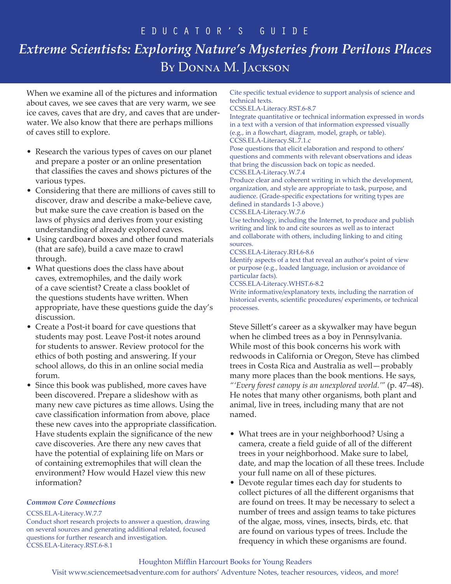## educator's Guide

# *Extreme Scientists: Exploring Nature's Mysteries from Perilous Places*  By Donna M. Jackson

When we examine all of the pictures and information about caves, we see caves that are very warm, we see ice caves, caves that are dry, and caves that are underwater. We also know that there are perhaps millions of caves still to explore.

- Research the various types of caves on our planet and prepare a poster or an online presentation that classifies the caves and shows pictures of the various types.
- Considering that there are millions of caves still to discover, draw and describe a make-believe cave, but make sure the cave creation is based on the laws of physics and derives from your existing understanding of already explored caves.
- Using cardboard boxes and other found materials (that are safe), build a cave maze to crawl through.
- What questions does the class have about caves, extremophiles, and the daily work of a cave scientist? Create a class booklet of the questions students have written. When appropriate, have these questions guide the day's discussion.
- Create a Post-it board for cave questions that students may post. Leave Post-it notes around for students to answer. Review protocol for the ethics of both posting and answering. If your school allows, do this in an online social media forum.
- Since this book was published, more caves have been discovered. Prepare a slideshow with as many new cave pictures as time allows. Using the cave classification information from above, place these new caves into the appropriate classification. Have students explain the significance of the new cave discoveries. Are there any new caves that have the potential of explaining life on Mars or of containing extremophiles that will clean the environment? How would Hazel view this new information?

## *Common Core Connections*

#### CCSS.ELA-Literacy.W.7.7

Conduct short research projects to answer a question, drawing on several sources and generating additional related, focused questions for further research and investigation. CCSS.ELA-Literacy.RST.6-8.1

Cite specific textual evidence to support analysis of science and technical texts.

#### CCSS.ELA-Literacy.RST.6-8.7

Integrate quantitative or technical information expressed in words in a text with a version of that information expressed visually (e.g., in a flowchart, diagram, model, graph, or table). CCSS.ELA-Literacy.SL.7.1.c

Pose questions that elicit elaboration and respond to others' questions and comments with relevant observations and ideas that bring the discussion back on topic as needed.

CCSS.ELA-Literacy.W.7.4

Produce clear and coherent writing in which the development, organization, and style are appropriate to task, purpose, and audience. (Grade-specific expectations for writing types are defined in standards 1-3 above.)

#### CCSS.ELA-Literacy.W.7.6

Use technology, including the Internet, to produce and publish writing and link to and cite sources as well as to interact and collaborate with others, including linking to and citing sources.

#### CCSS.ELA-Literacy.RH.6-8.6

Identify aspects of a text that reveal an author's point of view or purpose (e.g., loaded language, inclusion or avoidance of particular facts).

#### CCSS.ELA-Literacy.WHST.6-8.2

Write informative/explanatory texts, including the narration of historical events, scientific procedures/ experiments, or technical processes.

Steve Sillett's career as a skywalker may have begun when he climbed trees as a boy in Pennsylvania. While most of this book concerns his work with redwoods in California or Oregon, Steve has climbed trees in Costa Rica and Australia as well—probably many more places than the book mentions. He says, *"'Every forest canopy is an unexplored world.'"* (p. 47–48). He notes that many other organisms, both plant and animal, live in trees, including many that are not named.

- What trees are in your neighborhood? Using a camera, create a field guide of all of the different trees in your neighborhood. Make sure to label, date, and map the location of all these trees. Include your full name on all of these pictures.
- Devote regular times each day for students to collect pictures of all the different organisms that are found on trees. It may be necessary to select a number of trees and assign teams to take pictures of the algae, moss, vines, insects, birds, etc. that are found on various types of trees. Include the frequency in which these organisms are found.

## Houghton Mifflin Harcourt Books for Young Readers

Visit www.sciencemeetsadventure.com for authors' Adventure Notes, teacher resources, videos, and more!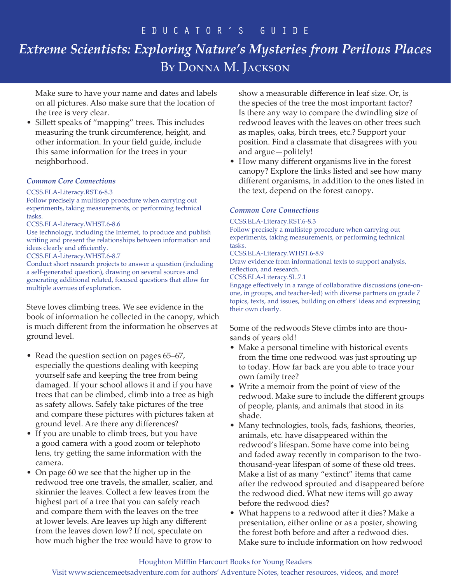Make sure to have your name and dates and labels on all pictures. Also make sure that the location of the tree is very clear.

• Sillett speaks of "mapping" trees. This includes measuring the trunk circumference, height, and other information. In your field guide, include this same information for the trees in your neighborhood.

## *Common Core Connections*

#### CCSS.ELA-Literacy.RST.6-8.3

Follow precisely a multistep procedure when carrying out experiments, taking measurements, or performing technical tasks.

#### CCSS.ELA-Literacy.WHST.6-8.6

Use technology, including the Internet, to produce and publish writing and present the relationships between information and ideas clearly and efficiently.

CCSS.ELA-Literacy.WHST.6-8.7

Conduct short research projects to answer a question (including a self-generated question), drawing on several sources and generating additional related, focused questions that allow for multiple avenues of exploration.

Steve loves climbing trees. We see evidence in the book of information he collected in the canopy, which is much different from the information he observes at ground level.

- Read the question section on pages 65–67, especially the questions dealing with keeping yourself safe and keeping the tree from being damaged. If your school allows it and if you have trees that can be climbed, climb into a tree as high as safety allows. Safely take pictures of the tree and compare these pictures with pictures taken at ground level. Are there any differences?
- If you are unable to climb trees, but you have a good camera with a good zoom or telephoto lens, try getting the same information with the camera.
- On page 60 we see that the higher up in the redwood tree one travels, the smaller, scalier, and skinnier the leaves. Collect a few leaves from the highest part of a tree that you can safely reach and compare them with the leaves on the tree at lower levels. Are leaves up high any different from the leaves down low? If not, speculate on how much higher the tree would have to grow to

show a measurable difference in leaf size. Or, is the species of the tree the most important factor? Is there any way to compare the dwindling size of redwood leaves with the leaves on other trees such as maples, oaks, birch trees, etc.? Support your position. Find a classmate that disagrees with you and argue—politely!

• How many different organisms live in the forest canopy? Explore the links listed and see how many different organisms, in addition to the ones listed in the text, depend on the forest canopy.

## *Common Core Connections*

#### CCSS.ELA-Literacy.RST.6-8.3

Follow precisely a multistep procedure when carrying out experiments, taking measurements, or performing technical tasks.

CCSS.ELA-Literacy.WHST.6-8.9

Draw evidence from informational texts to support analysis, reflection, and research.

CCSS.ELA-Literacy.SL.7.1

Engage effectively in a range of collaborative discussions (one-onone, in groups, and teacher-led) with diverse partners on grade 7 topics, texts, and issues, building on others' ideas and expressing their own clearly.

Some of the redwoods Steve climbs into are thousands of years old!

- Make a personal timeline with historical events from the time one redwood was just sprouting up to today. How far back are you able to trace your own family tree?
- Write a memoir from the point of view of the redwood. Make sure to include the different groups of people, plants, and animals that stood in its shade.
- Many technologies, tools, fads, fashions, theories, animals, etc. have disappeared within the redwood's lifespan. Some have come into being and faded away recently in comparison to the twothousand-year lifespan of some of these old trees. Make a list of as many "extinct" items that came after the redwood sprouted and disappeared before the redwood died. What new items will go away before the redwood dies?
- What happens to a redwood after it dies? Make a presentation, either online or as a poster, showing the forest both before and after a redwood dies. Make sure to include information on how redwood

## Houghton Mifflin Harcourt Books for Young Readers